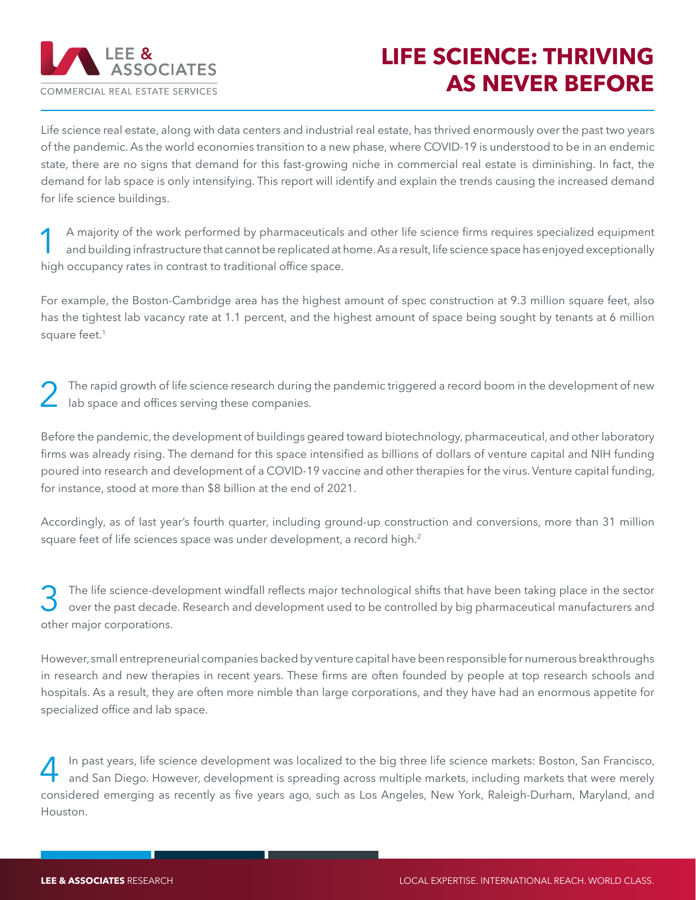

## **LIFE SCIENCE: THRIVING AS NEVER BEFORE**

Life science real estate, along with data centers and industrial real estate, has thrived enormously over the past two years of the pandemic. As the world economies transition to a new phase, where COVID-19 is understood to be in an endemic state, there are no signs that demand for this fast-growing niche in commercial real estate is diminishing. In fact, the demand for lab space is only intensifying. This report will identify and explain the trends causing the increased demand for life science buildings.

A majority of the work performed by pharmaceuticals and other life science firms requires specialized equipment<br>and building infrastructure that cannot be replicated at home. As a result, life science space has enjoyed exc high occupancy rates in contrast to traditional office space.

For example, the Boston-Cambridge area has the highest amount of spec construction at 9.3 million square feet, also has the tightest lab vacancy rate at 1.1 percent, and the highest amount of space being sought by tenants at 6 million square feet.<sup>1</sup>

The rapid growth of life science research during the pandemic triggered a record boom in the development of new lab space and offices serving these companies.

Before the pandemic, the development of buildings geared toward biotechnology, pharmaceutical, and other laboratory firms was already rising. The demand for this space intensified as billions of dollars of venture capital and NIH funding poured into research and development of a COVID-19 vaccine and other therapies for the virus. Venture capital funding, for instance, stood at more than \$8 billion at the end of 2021.

Accordingly, as of last year's fourth quarter, including ground-up construction and conversions, more than 31 million square feet of life sciences space was under development, a record high.<sup>2</sup>

The life science-development windfall reflects major technological shifts that have been taking place in the sector<br>Only over the past decade. Research and development used to be controlled by big pharmaceutical manufactur other major corporations.

However, small entrepreneurial companies backed by venture capital have been responsible for numerous breakthroughs in research and new therapies in recent years. These firms are often founded by people at top research schools and hospitals. As a result, they are often more nimble than large corporations, and they have had an enormous appetite for specialized office and lab space.

In past years, life science development was localized to the big three life science markets: Boston, San Francisco,<br>and San Diego. However, development is spreading across multiple markets, including markets that were mere considered emerging as recently as five years ago, such as Los Angeles, New York, Raleigh-Durham, Maryland, and Houston.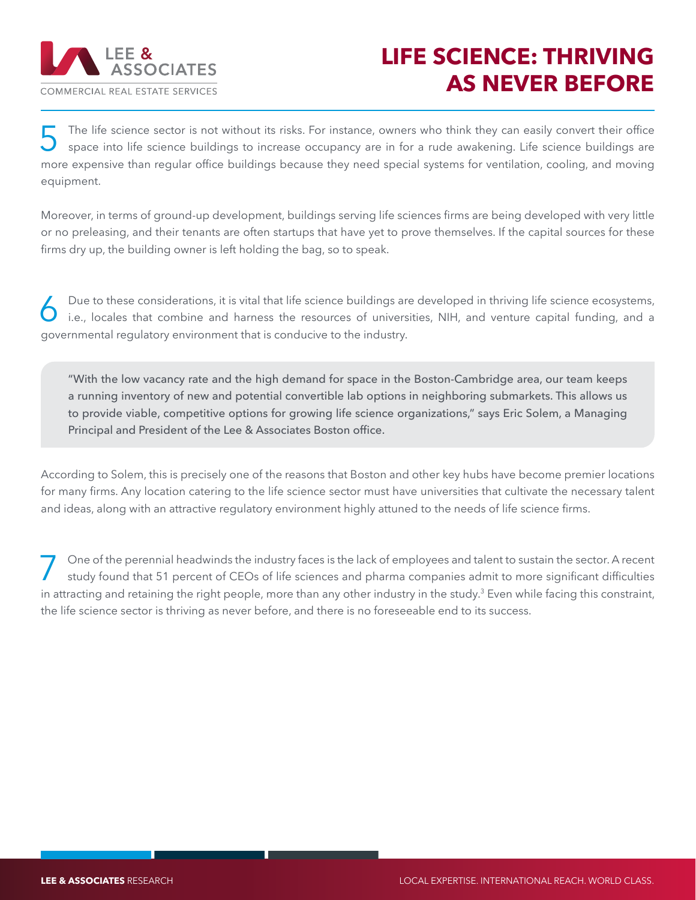

## **LIFE SCIENCE: THRIVING AS NEVER BEFORE**

The life science sector is not without its risks. For instance, owners who think they can easily convert their office<br>
space into life science buildings to increase occupancy are in for a rude awakening. Life science build more expensive than regular office buildings because they need special systems for ventilation, cooling, and moving equipment.

Moreover, in terms of ground-up development, buildings serving life sciences firms are being developed with very little or no preleasing, and their tenants are often startups that have yet to prove themselves. If the capital sources for these firms dry up, the building owner is left holding the bag, so to speak.

Due to these considerations, it is vital that life science buildings are developed in thriving life science ecosystems,<br>i.e., locales that combine and harness the resources of universities, NIH, and venture capital funding governmental regulatory environment that is conducive to the industry.

"With the low vacancy rate and the high demand for space in the Boston-Cambridge area, our team keeps a running inventory of new and potential convertible lab options in neighboring submarkets. This allows us to provide viable, competitive options for growing life science organizations," says Eric Solem, a Managing Principal and President of the Lee & Associates Boston office.

According to Solem, this is precisely one of the reasons that Boston and other key hubs have become premier locations for many firms. Any location catering to the life science sector must have universities that cultivate the necessary talent and ideas, along with an attractive regulatory environment highly attuned to the needs of life science firms.

One of the perennial headwinds the industry faces is the lack of employees and talent to sustain the sector. A recent<br>study found that 51 percent of CEOs of life sciences and pharma companies admit to more significant diff in attracting and retaining the right people, more than any other industry in the study.<sup>3</sup> Even while facing this constraint, the life science sector is thriving as never before, and there is no foreseeable end to its success.